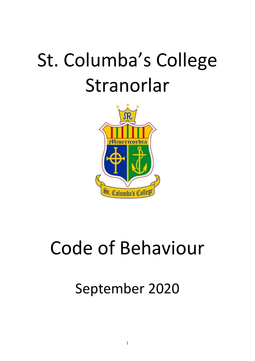# St. Columba's College Stranorlar



# Code of Behaviour

September 2020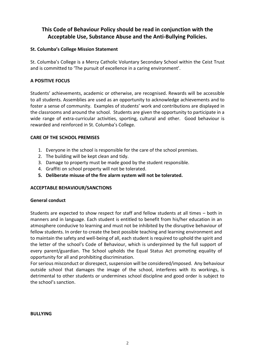### **This Code of Behaviour Policy should be read in conjunction with the Acceptable Use, Substance Abuse and the Anti-Bullying Policies.**

#### **St. Columba's College Mission Statement**

St. Columba's College is a Mercy Catholic Voluntary Secondary School within the Ceist Trust and is committed to 'The pursuit of excellence in a caring environment'.

#### **A POSITIVE FOCUS**

Students' achievements, academic or otherwise, are recognised. Rewards will be accessible to all students. Assemblies are used as an opportunity to acknowledge achievements and to foster a sense of community. Examples of students' work and contributions are displayed in the classrooms and around the school. Students are given the opportunity to participate in a wide range of extra-curricular activities, sporting, cultural and other. Good behaviour is rewarded and reinforced in St. Columba's College.

#### **CARE OF THE SCHOOL PREMISES**

- 1. Everyone in the school is responsible for the care of the school premises.
- 2. The building will be kept clean and tidy.
- 3. Damage to property must be made good by the student responsible.
- 4. Graffiti on school property will not be tolerated.
- **5. Deliberate misuse of the fire alarm system will not be tolerated.**

#### **ACCEPTABLE BEHAVIOUR/SANCTIONS**

#### **General conduct**

Students are expected to show respect for staff and fellow students at all times – both in manners and in language. Each student is entitled to benefit from his/her education in an atmosphere conducive to learning and must not be inhibited by the disruptive behaviour of fellow students. In order to create the best possible teaching and learning environment and to maintain the safety and well-being of all, each student is required to uphold the spirit and the letter of the school's Code of Behaviour, which is underpinned by the full support of every parent/guardian. The School upholds the Equal Status Act promoting equality of opportunity for all and prohibiting discrimination.

For serious misconduct or disrespect, suspension will be considered/imposed. Any behaviour outside school that damages the image of the school, interferes with its workings, is detrimental to other students or undermines school discipline and good order is subject to the school's sanction.

**BULLYING**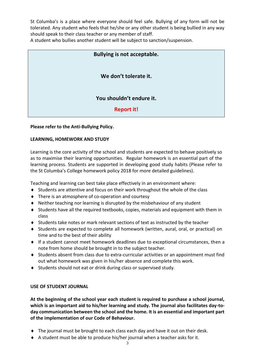St Columba's is a place where everyone should feel safe. Bullying of any form will not be tolerated. Any student who feels that he/she or any other student is being bullied in any way should speak to their class teacher or any member of staff.

A student who bullies another student will be subject to sanction/suspension.

| <b>Bullying is not acceptable.</b> |
|------------------------------------|
| We don't tolerate it.              |
| You shouldn't endure it.           |
| <b>Report it!</b>                  |

#### **Please refer to the Anti-Bullying Policy.**

#### **LEARNING, HOMEWORK AND STUDY**

Learning is the core activity of the school and students are expected to behave positively so as to maximise their learning opportunities. Regular homework is an essential part of the learning process. Students are supported in developing good study habits (Please refer to the St Columba's College homework policy 2018 for more detailed guidelines).

Teaching and learning can best take place effectively in an environment where:

- $\blacklozenge$  Students are attentive and focus on their work throughout the whole of the class
- ◆ There is an atmosphere of co-operation and courtesy
- Neither teaching nor learning is disrupted by the misbehaviour of any student
- Students have all the required textbooks, copies, materials and equipment with them in class
- $\blacklozenge$  Students take notes or mark relevant sections of text as instructed by the teacher
- Students are expected to complete all homework (written, aural, oral, or practical) on time and to the best of their ability
- $\bullet$  If a student cannot meet homework deadlines due to exceptional circumstances, then a note from home should be brought in to the subject teacher.
- Students absent from class due to extra-curricular activities or an appointment must find out what homework was given in his/her absence and complete this work.
- Students should not eat or drink during class or supervised study.

#### **USE OF STUDENT JOURNAL**

**At the beginning of the school year each student is required to purchase a school journal, which is an important aid to his/her learning and study. The journal also facilitates day-today communication between the school and the home. It is an essential and important part of the implementation of our Code of Behaviour.**

- The journal must be brought to each class each day and have it out on their desk.
- A student must be able to produce his/her journal when a teacher asks for it.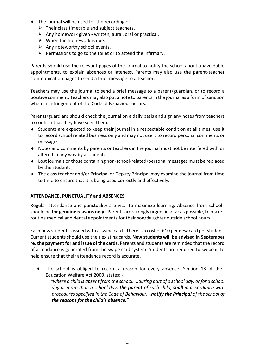- $\bullet$  The journal will be used for the recording of:
	- $\triangleright$  Their class timetable and subject teachers.
	- $\triangleright$  Any homework given written, aural, oral or practical.
	- $\triangleright$  When the homework is due.
	- $\triangleright$  Any noteworthy school events.
	- $\triangleright$  Permissions to go to the toilet or to attend the infirmary.

Parents should use the relevant pages of the journal to notify the school about unavoidable appointments, to explain absences or lateness. Parents may also use the parent-teacher communication pages to send a brief message to a teacher.

Teachers may use the journal to send a brief message to a parent/guardian, or to record a positive comment. Teachers may also put a note to parents in the journal as a form of sanction when an infringement of the Code of Behaviour occurs.

Parents/guardians should check the journal on a daily basis and sign any notes from teachers to confirm that they have seen them.

- Students are expected to keep their journal in a respectable condition at all times, use it to record school related business only and may not use it to record personal comments or messages.
- Notes and comments by parents or teachers in the journal must not be interfered with or altered in any way by a student.
- Lost journals or those containing non-school-related/personal messages must be replaced by the student.
- The class teacher and/or Principal or Deputy Principal may examine the journal from time to time to ensure that it is being used correctly and effectively.

#### **ATTENDANCE, PUNCTUALITY and ABSENCES**

Regular attendance and punctuality are vital to maximize learning. Absence from school should be **for genuine reasons only**. Parents are strongly urged, insofar as possible, to make routine medical and dental appointments for their son/daughter outside school hours.

Each new student is issued with a swipe card. There is a cost of €10 per new card per student. Current students should use their existing cards. **New students will be advised in September re. the payment for and issue of the cards.** Parents and students are reminded that the record of attendance is generated from the swipe card system. Students are required to swipe in to help ensure that their attendance record is accurate.

 The school is obliged to record a reason for every absence. Section 18 of the Education Welfare Act 2000, states: -

 *"where a child is absent from the school…..during part of a school day, or for a school day or more than a school day, the parent of such child, shall in accordance with procedures specified in the Code of Behaviour….notify the Principal of the school of the reasons for the child's absence."*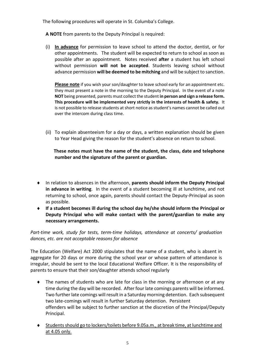The following procedures will operate in St. Columba's College.

**A NOTE** from parents to the Deputy Principal is required:

(i) **In advance** for permission to leave school to attend the doctor, dentist, or for other appointments. The student will be expected to return to school as soon as possible after an appointment. Notes received **after** a student has left school without permission **will not be accepted**. Students leaving school without advance permission **will be deemed to be mitching** and will be subject to sanction.

**Please note** if you wish your son/daughter to leave school early for an appointment etc. they must present a note in the morning to the Deputy Principal. In the event of a note **NOT** being presented, parents must collect the student **in person and sign a release form. This procedure will be implemented very strictly in the interests of health & safety.** It is not possible to release students at short notice as student's names cannot be called out over the intercom during class time.

(ii) To explain absenteeism for a day or days, a written explanation should be given to Year Head giving the reason for the student's absence on return to school.

 **These notes must have the name of the student, the class, date and telephone number and the signature of the parent or guardian.**

- In relation to absences in the afternoon, **parents should inform the Deputy Principal in advance in writing**. In the event of a student becoming ill at lunchtime, and not returning to school, once again, parents should contact the Deputy-Principal as soon as possible.
- **If a student becomes ill during the school day he/she should inform the Principal or Deputy Principal who will make contact with the parent/guardian to make any necessary arrangements.**

*Part-time work, study for tests, term-time holidays, attendance at concerts/ graduation dances, etc. are not acceptable reasons for absence*

The Education (Welfare) Act 2000 stipulates that the name of a student, who is absent in aggregate for 20 days or more during the school year or whose pattern of attendance is irregular, should be sent to the local Educational Welfare Officer. It is the responsibility of parents to ensure that their son/daughter attends school regularly

- The names of students who are late for class in the morning or afternoon or at any time during the day will be recorded. After four late comings parents will be informed. Two further late comings will result in a Saturday morning detention. Each subsequent two late-comings will result in further Saturday detention. Persistent offenders will be subject to further sanction at the discretion of the Principal/Deputy Principal.
- Students should go to lockers/toilets before 9.05a.m., at break time, at lunchtime and at 4.05 only.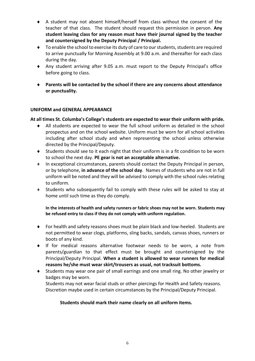- A student may not absent himself/herself from class without the consent of the teacher of that class. The student should request this permission in person. **Any student leaving class for any reason must have their journal signed by the teacher and countersigned by the Deputy Principal / Principal.**
- To enable the school to exercise its duty of care to our students, students are required to arrive punctually for Morning Assembly at 9.00 a.m. and thereafter for each class during the day.
- Any student arriving after 9.05 a.m. must report to the Deputy Principal's office before going to class.
- **Parents will be contacted by the school if there are any concerns about attendance or punctuality.**

#### **UNIFORM and GENERAL APPEARANCE**

#### **At all times St. Columba's College's students are expected to wear their uniform with pride.**

- All students are expected to wear the full school uniform as detailed in the school prospectus and on the school website. Uniform must be worn for all school activities including after school study and when representing the school unless otherwise directed by the Principal/Deputy.
- Students should see to it each night that their uniform is in a fit condition to be worn to school the next day. **PE gear is not an acceptable alternative.**
- In exceptional circumstances, parents should contact the Deputy Principal in person, or by telephone, **in advance of the school day**. Names of students who are not in full uniform will be noted and they will be advised to comply with the school rules relating to uniform.
- Students who subsequently fail to comply with these rules will be asked to stay at home until such time as they do comply.

#### **In the interests of health and safety runners or fabric shoes may not be worn. Students may be refused entry to class if they do not comply with uniform regulation.**

- For health and safety reasons shoes must be plain black and low-heeled. Students are not permitted to wear clogs, platforms, sling backs, sandals, canvas shoes, runners or boots of any kind.
- If for medical reasons alternative footwear needs to be worn, a note from parents/guardian to that effect must be brought and countersigned by the Principal/Deputy Principal. **When a student is allowed to wear runners for medical reasons he/she must wear skirt/trousers as usual, not tracksuit bottoms.**
- Students may wear one pair of small earrings and one small ring. No other jewelry or badges may be worn.

Students may not wear facial studs or other piercings for Health and Safety reasons. Discretion maybe used in certain circumstances by the Principal/Deputy Principal.

#### **Students should mark their name clearly on all uniform items.**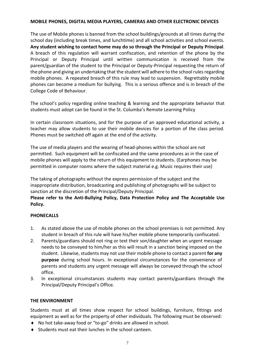#### **MOBILE PHONES, DIGITAL MEDIA PLAYERS, CAMERAS AND OTHER ELECTRONIC DEVICES**

The use of Mobile phones is banned from the school buildings/grounds at all times during the school day (including break times, and lunchtime) and all school activities and school events. **Any student wishing to contact home may do so through the Principal or Deputy Principal**. A breach of this regulation will warrant confiscation, and retention of the phone by the Principal or Deputy Principal until written communication is received from the parent/guardian of the student to the Principal or Deputy-Principal requesting the return of the phone and giving an undertaking that the student will adhere to the school rules regarding mobile phones. A repeated breach of this rule may lead to suspension. Regrettably mobile phones can become a medium for bullying. This is a serious offence and is in breach of the College Code of Behaviour.

The school's policy regarding online teaching & learning and the appropriate behavior that students must adopt can be found in the St. Columba's Remote Learning Policy

In certain classroom situations, and for the purpose of an approved educational activity, a teacher may allow students to use their mobile devices for a portion of the class period. Phones must be switched off again at the end of the activity.

The use of media players and the wearing of head-phones within the school are not permitted. Such equipment will be confiscated and the same procedures as in the case of mobile phones will apply to the return of this equipment to students**.** (Earphones may be permitted in computer rooms where the subject material e.g. Music requires their use)

The taking of photographs without the express permission of the subject and the inappropriate distribution, broadcasting and publishing of photographs will be subject to sanction at the discretion of the Principal/Deputy Principal.

**Please refer to the Anti-Bullying Policy, Data Protection Policy and The Acceptable Use Policy.**

#### **PHONECALLS**

- 1. As stated above the use of mobile phones on the school premises is not permitted. Any student in breach of this rule will have his/her mobile phone temporarily confiscated.
- 2. Parents/guardians should not ring or text their son/daughter when an urgent message needs to be conveyed to him/her as this will result in a sanction being imposed on the student. Likewise, students may not use their mobile phone to contact a parent for any **purpose** during school hours. In exceptional circumstances for the convenience of parents and students any urgent message will always be conveyed through the school office.
- 3. In exceptional circumstances students may contact parents/guardians through the Principal/Deputy Principal's Office.

#### **THE ENVIRONMENT**

Students must at all times show respect for school buildings, furniture, fittings and equipment as well as for the property of other individuals. The following must be observed:

- ◆ No hot take-away food or "to-go" drinks are allowed in school.
- Students must eat their lunches in the school canteen.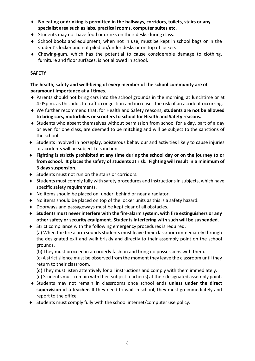- **No eating or drinking is permitted in the hallways, corridors, toilets, stairs or any specialist area such as labs, practical rooms, computer suites etc.**
- ◆ Students may not have food or drinks on their desks during class.
- School books and equipment, when not in use, must be kept in school bags or in the student's locker and not piled on/under desks or on top of lockers.
- Chewing-gum, which has the potential to cause considerable damage to clothing, furniture and floor surfaces, is not allowed in school.

#### **SAFETY**

#### **The health, safety and well-being of every member of the school community are of paramount importance at all times.**

- Parents should not bring cars into the school grounds in the morning, at lunchtime or at 4.05p.m. as this adds to traffic congestion and increases the risk of an accident occurring.
- We further recommend that, for Health and Safety reasons, **students are not be allowed to bring cars, motorbikes or scooters to school for Health and Safety reasons.**
- $\bullet$  Students who absent themselves without permission from school for a day, part of a day or even for one class, are deemed to be **mitching** and will be subject to the sanctions of the school.
- Students involved in horseplay, boisterous behaviour and activities likely to cause injuries or accidents will be subject to sanction.
- **Fighting is strictly prohibited at any time during the school day or on the journey to or from school. It places the safety of students at risk. Fighting will result in a minimum of 3 days suspension.**
- ◆ Students must not run on the stairs or corridors.
- Students must comply fully with safety procedures and instructions in subjects, which have specific safety requirements.
- No items should be placed on, under, behind or near a radiator.
- No items should be placed on top of the locker units as this is a safety hazard.
- Doorways and passageways must be kept clear of all obstacles.
- **Students must never interfere with the fire-alarm system, with fire extinguishers or any other safety or security equipment. Students interfering with such will be suspended.**
- Strict compliance with the following emergency procedures is required. (a) When the fire alarm sounds students must leave their classroom immediately through the designated exit and walk briskly and directly to their assembly point on the school grounds.

(b) They must proceed in an orderly fashion and bring no possessions with them.

(c) A strict silence must be observed from the moment they leave the classroom until they return to their classroom.

(d) They must listen attentively for all instructions and comply with them immediately.

(e) Students must remain with their subject teacher(s) at their designated assembly point.

- Students may not remain in classrooms once school ends **unless under the direct supervision of a teacher**. If they need to wait in school, they must go immediately and report to the office.
- Students must comply fully with the school internet/computer use policy.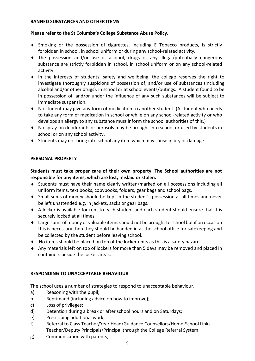#### **BANNED SUBSTANCES AND OTHER ITEMS**

#### **Please refer to the St Columba's College Substance Abuse Policy.**

- Smoking or the possession of cigarettes, including E Tobacco products, is strictly forbidden in school, in school uniform or during any school-related activity.
- The possession and/or use of alcohol, drugs or any illegal/potentially dangerous substance are strictly forbidden in school, in school uniform or on any school-related activity.
- In the interests of students' safety and wellbeing, the college reserves the right to investigate thoroughly suspicions of possession of, and/or use of substances (including alcohol and/or other drugs), in school or at school events/outings. A student found to be in possession of, and/or under the influence of any such substances will be subject to immediate suspension.
- No student may give any form of medication to another student. (A student who needs to take any form of medication in school or while on any school-related activity or who develops an allergy to any substance must inform the school authorities of this.)
- No spray-on deodorants or aerosols may be brought into school or used by students in school or on any school activity.
- Students may not bring into school any item which may cause injury or damage.

#### **PERSONAL PROPERTY**

**Students must take proper care of their own property. The School authorities are not responsible for any items, which are lost, mislaid or stolen.** 

- Students must have their name clearly written/marked on all possessions including all uniform items, text books, copybooks, folders, gear bags and school bags.
- Small sums of money should be kept in the student's possession at all times and never be left unattended e.g. in jackets, sacks or gear bags.
- A locker is available for rent to each student and each student should ensure that it is securely locked at all times.
- Large sums of money or valuable items should not be brought to school but if on occasion this is necessary then they should be handed in at the school office for safekeeping and be collected by the student before leaving school.
- No items should be placed on top of the locker units as this is a safety hazard.
- Any materials left on top of lockers for more than 5 days may be removed and placed in containers beside the locker areas.

#### **RESPONDING TO UNACCEPTABLE BEHAVIOUR**

The school uses a number of strategies to respond to unacceptable behaviour.

- a) Reasoning with the pupil;
- b) Reprimand (including advice on how to improve);
- c) Loss of privileges;
- d) Detention during a break or after school hours and on Saturdays;
- e) Prescribing additional work;
- f) Referral to Class Teacher/Year Head/Guidance Counsellors/Home-School Links Teacher/Deputy Principals/Principal through the College Referral System;
- g) Communication with parents;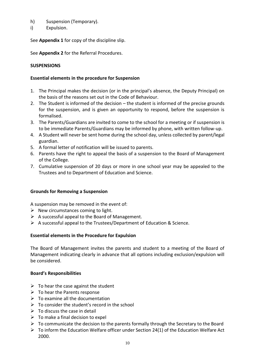#### h) Suspension (Temporary).

i) Expulsion.

See **Appendix 1** for copy of the discipline slip.

See **Appendix 2** for the Referral Procedures.

#### **SUSPENSIONS**

#### **Essential elements in the procedure for Suspension**

- 1. The Principal makes the decision (or in the principal's absence, the Deputy Principal) on the basis of the reasons set out in the Code of Behaviour.
- 2. The Student is informed of the decision the student is informed of the precise grounds for the suspension, and is given an opportunity to respond, before the suspension is formalised.
- 3. The Parents/Guardians are invited to come to the school for a meeting or if suspension is to be immediate Parents/Guardians may be informed by phone, with written follow-up.
- 4. A Student will never be sent home during the school day, unless collected by parent/legal guardian.
- 5. A formal letter of notification will be issued to parents.
- 6. Parents have the right to appeal the basis of a suspension to the Board of Management of the College.
- 7. Cumulative suspension of 20 days or more in one school year may be appealed to the Trustees and to Department of Education and Science.

#### **Grounds for Removing a Suspension**

A suspension may be removed in the event of:

- $\triangleright$  New circumstances coming to light.
- $\triangleright$  A successful appeal to the Board of Management.
- $\triangleright$  A successful appeal to the Trustees/Department of Education & Science.

#### **Essential elements in the Procedure for Expulsion**

The Board of Management invites the parents and student to a meeting of the Board of Management indicating clearly in advance that all options including exclusion/expulsion will be considered.

#### **Board's Responsibilities**

- $\triangleright$  To hear the case against the student
- $\triangleright$  To hear the Parents response
- $\triangleright$  To examine all the documentation
- $\triangleright$  To consider the student's record in the school
- $\triangleright$  To discuss the case in detail
- $\triangleright$  To make a final decision to expel
- $\triangleright$  To communicate the decision to the parents formally through the Secretary to the Board
- $\triangleright$  To inform the Education Welfare officer under Section 24(1) of the Education Welfare Act 2000.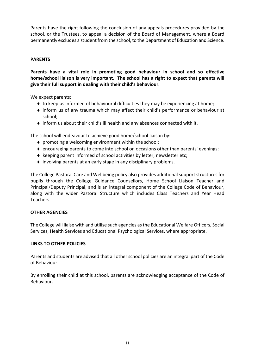Parents have the right following the conclusion of any appeals procedures provided by the school, or the Trustees, to appeal a decision of the Board of Management, where a Board permanently excludes a student from the school, to the Department of Education and Science.

#### **PARENTS**

**Parents have a vital role in promoting good behaviour in school and so effective home/school liaison is very important. The school has a right to expect that parents will give their full support in dealing with their child's behaviour.**

We expect parents:

- $\bullet$  to keep us informed of behavioural difficulties they may be experiencing at home;
- inform us of any trauma which may affect their child's performance or behaviour at school;
- $\bullet$  inform us about their child's ill health and any absences connected with it.

The school will endeavour to achieve good home/school liaison by:

- promoting a welcoming environment within the school;
- $\bullet$  encouraging parents to come into school on occasions other than parents' evenings;
- $\bullet$  keeping parent informed of school activities by letter, newsletter etc;
- involving parents at an early stage in any disciplinary problems.

The College Pastoral Care and Wellbeing policy also provides additional support structures for pupils through the College Guidance Counsellors, Home School Liaison Teacher and Principal/Deputy Principal, and is an integral component of the College Code of Behaviour, along with the wider Pastoral Structure which includes Class Teachers and Year Head Teachers.

#### **OTHER AGENCIES**

The College will liaise with and utilise such agencies as the Educational Welfare Officers, Social Services, Health Services and Educational Psychological Services, where appropriate.

#### **LINKS TO OTHER POLICIES**

Parents and students are advised that all other school policies are an integral part of the Code of Behaviour.

By enrolling their child at this school, parents are acknowledging acceptance of the Code of Behaviour.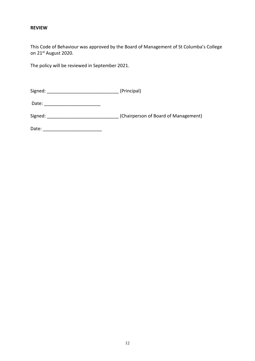#### **REVIEW**

This Code of Behaviour was approved by the Board of Management of St Columba's College on 21st August 2020.

The policy will be reviewed in September 2021.

Signed: \_\_\_\_\_\_\_\_\_\_\_\_\_\_\_\_\_\_\_\_\_\_\_\_\_\_\_\_ (Principal)

Date: \_\_\_\_\_\_\_\_\_\_\_\_\_\_\_\_\_\_\_\_\_\_

Signed: \_\_\_\_\_\_\_\_\_\_\_\_\_\_\_\_\_\_\_\_\_\_\_\_\_\_\_\_\_\_\_\_(Chairperson of Board of Management)

Date: \_\_\_\_\_\_\_\_\_\_\_\_\_\_\_\_\_\_\_\_\_\_\_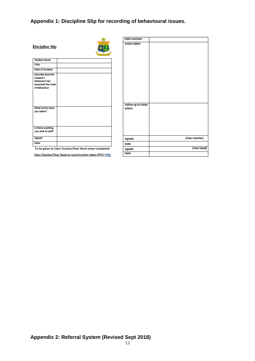### **Appendix 1: Discipline Slip for recording of behavioural issues.**

| <b>Discipline Slip</b>                                                              |  |
|-------------------------------------------------------------------------------------|--|
| <b>Student Name</b>                                                                 |  |
| Class                                                                               |  |
| Date of incident                                                                    |  |
| Describe how the<br>student's<br>behaviour has<br>breached the Code<br>of Behaviour |  |
| What action have<br>you taken?                                                      |  |
| Is there anything<br>you wish to add?                                               |  |
| Signed:                                                                             |  |
| Date:                                                                               |  |

| <b>Action taken:</b><br>Follow up to initial<br>action:<br>(Class teacher)<br>Signed:<br>Date:<br>(Year Head)<br>Signed:<br>Date: | Date received: |  |
|-----------------------------------------------------------------------------------------------------------------------------------|----------------|--|
|                                                                                                                                   |                |  |
|                                                                                                                                   |                |  |
|                                                                                                                                   |                |  |
|                                                                                                                                   |                |  |
|                                                                                                                                   |                |  |
|                                                                                                                                   |                |  |

To be given to Class Teacher/Year Head when completed

Class Teacher/Year Head to record action taken (PTO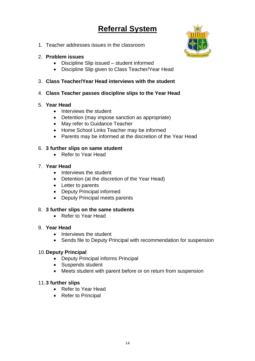## **Referral System**



1. Teacher addresses issues in the classroom

#### 2. **Problem issues**

- Discipline Slip issued student informed
- Discipline Slip given to Class Teacher/Year Head

#### 3. **Class Teacher/Year Head interviews with the student**

4. **Class Teacher passes discipline slips to the Year Head**

#### 5. **Year Head**

- Interviews the student
- Detention (may impose sanction as appropriate)
- May refer to Guidance Teacher
- Home School Links Teacher may be informed
- Parents may be informed at the discretion of the Year Head

#### 6. **3 further slips on same student**

• Refer to Year Head

#### 7. **Year Head**

- Interviews the student
- Detention (at the discretion of the Year Head)
- Letter to parents
- Deputy Principal informed
- Deputy Principal meets parents

#### 8. **3 further slips on the same students**

• Refer to Year Head

#### 9. **Year Head**

- Interviews the student
- Sends file to Deputy Principal with recommendation for suspension

#### 10.**Deputy Principal**

- Deputy Principal informs Principal
- Suspends student
- Meets student with parent before or on return from suspension

#### 11.**3 further slips**

- Refer to Year Head
- Refer to Principal